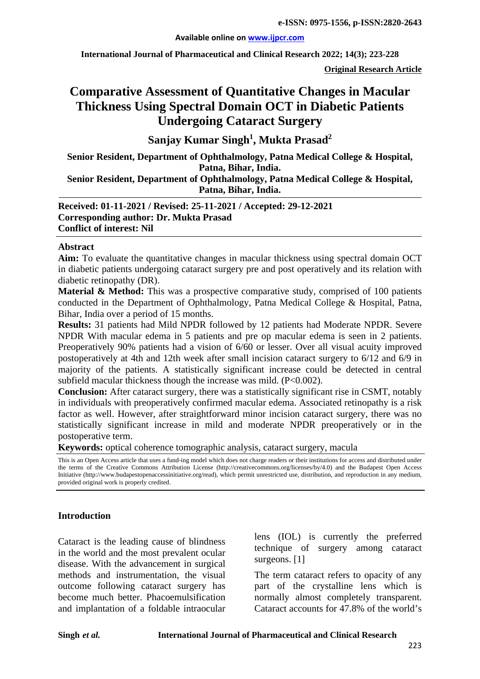**International Journal of Pharmaceutical and Clinical Research 2022; 14(3); 223-228**

**Original Research Article**

# **Comparative Assessment of Quantitative Changes in Macular Thickness Using Spectral Domain OCT in Diabetic Patients Undergoing Cataract Surgery**

**Sanjay Kumar Singh1 , Mukta Prasad<sup>2</sup>**

**Senior Resident, Department of Ophthalmology, Patna Medical College & Hospital, Patna, Bihar, India.**

**Senior Resident, Department of Ophthalmology, Patna Medical College & Hospital, Patna, Bihar, India.**

**Received: 01-11-2021 / Revised: 25-11-2021 / Accepted: 29-12-2021 Corresponding author: Dr. Mukta Prasad Conflict of interest: Nil**

#### **Abstract**

**Aim:** To evaluate the quantitative changes in macular thickness using spectral domain OCT in diabetic patients undergoing cataract surgery pre and post operatively and its relation with diabetic retinopathy (DR).

**Material & Method:** This was a prospective comparative study, comprised of 100 patients conducted in the Department of Ophthalmology, Patna Medical College & Hospital, Patna, Bihar, India over a period of 15 months.

**Results:** 31 patients had Mild NPDR followed by 12 patients had Moderate NPDR. Severe NPDR With macular edema in 5 patients and pre op macular edema is seen in 2 patients. Preoperatively 90% patients had a vision of 6/60 or lesser. Over all visual acuity improved postoperatively at 4th and 12th week after small incision cataract surgery to 6/12 and 6/9 in majority of the patients. A statistically significant increase could be detected in central subfield macular thickness though the increase was mild.  $(P<0.002)$ .

**Conclusion:** After cataract surgery, there was a statistically significant rise in CSMT, notably in individuals with preoperatively confirmed macular edema. Associated retinopathy is a risk factor as well. However, after straightforward minor incision cataract surgery, there was no statistically significant increase in mild and moderate NPDR preoperatively or in the postoperative term.

**Keywords:** optical coherence tomographic analysis, cataract surgery, macula

This is an Open Access article that uses a fund-ing model which does not charge readers or their institutions for access and distributed under the terms of the Creative Commons Attribution License (http://creativecommons.org/licenses/by/4.0) and the Budapest Open Access Initiative (http://www.budapestopenaccessinitiative.org/read), which permit unrestricted use, distribution, and reproduction in any medium, provided original work is properly credited.

#### **Introduction**

Cataract is the leading cause of blindness in the world and the most prevalent ocular disease. With the advancement in surgical methods and instrumentation, the visual outcome following cataract surgery has become much better. Phacoemulsification and implantation of a foldable intraocular

lens (IOL) is currently the preferred technique of surgery among cataract surgeons. [1]

The term cataract refers to opacity of any part of the crystalline lens which is normally almost completely transparent. Cataract accounts for 47.8% of the world's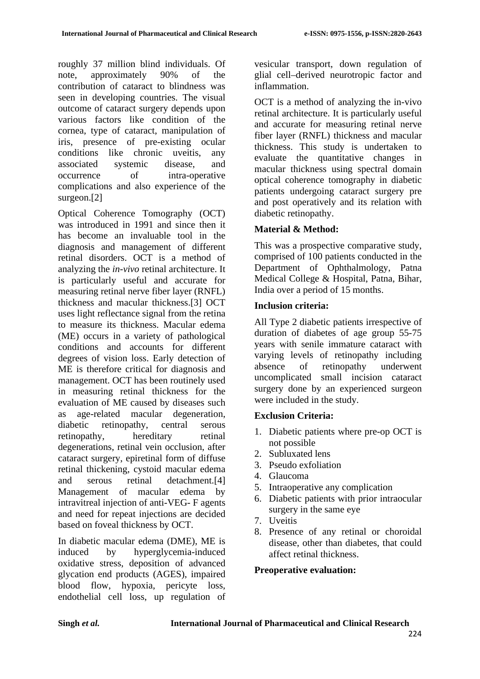roughly 37 million blind individuals. Of note, approximately 90% of the contribution of cataract to blindness was seen in developing countries. The visual outcome of cataract surgery depends upon various factors like condition of the cornea, type of cataract, manipulation of iris, presence of pre-existing ocular conditions like chronic uveitis, any associated systemic disease, and occurrence of intra-operative complications and also experience of the surgeon.[2]

Optical Coherence Tomography (OCT) was introduced in 1991 and since then it has become an invaluable tool in the diagnosis and management of different retinal disorders. OCT is a method of analyzing the *in-vivo* retinal architecture. It is particularly useful and accurate for measuring retinal nerve fiber layer (RNFL) thickness and macular thickness.[3] OCT uses light reflectance signal from the retina to measure its thickness. Macular edema (ME) occurs in a variety of pathological conditions and accounts for different degrees of vision loss. Early detection of ME is therefore critical for diagnosis and management. OCT has been routinely used in measuring retinal thickness for the evaluation of ME caused by diseases such as age-related macular degeneration, diabetic retinopathy, central serous retinopathy, hereditary retinal degenerations, retinal vein occlusion, after cataract surgery, epiretinal form of diffuse retinal thickening, cystoid macular edema and serous retinal detachment.[4] Management of macular edema by intravitreal injection of anti-VEG- F agents and need for repeat injections are decided based on foveal thickness by OCT.

In diabetic macular edema (DME), ME is induced by hyperglycemia-induced oxidative stress, deposition of advanced glycation end products (AGES), impaired blood flow, hypoxia, pericyte loss, endothelial cell loss, up regulation of vesicular transport, down regulation of glial cell–derived neurotropic factor and inflammation.

OCT is a method of analyzing the in-vivo retinal architecture. It is particularly useful and accurate for measuring retinal nerve fiber layer (RNFL) thickness and macular thickness. This study is undertaken to evaluate the quantitative changes in macular thickness using spectral domain optical coherence tomography in diabetic patients undergoing cataract surgery pre and post operatively and its relation with diabetic retinopathy.

# **Material & Method:**

This was a prospective comparative study, comprised of 100 patients conducted in the Department of Ophthalmology, Patna Medical College & Hospital, Patna, Bihar, India over a period of 15 months.

## **Inclusion criteria:**

All Type 2 diabetic patients irrespective of duration of diabetes of age group 55-75 years with senile immature cataract with varying levels of retinopathy including absence of retinopathy underwent uncomplicated small incision cataract surgery done by an experienced surgeon were included in the study.

# **Exclusion Criteria:**

- 1. Diabetic patients where pre-op OCT is not possible
- 2. Subluxated lens
- 3. Pseudo exfoliation
- 4. Glaucoma
- 5. Intraoperative any complication
- 6. Diabetic patients with prior intraocular surgery in the same eye
- 7. Uveitis
- 8. Presence of any retinal or choroidal disease, other than diabetes, that could affect retinal thickness.

## **Preoperative evaluation:**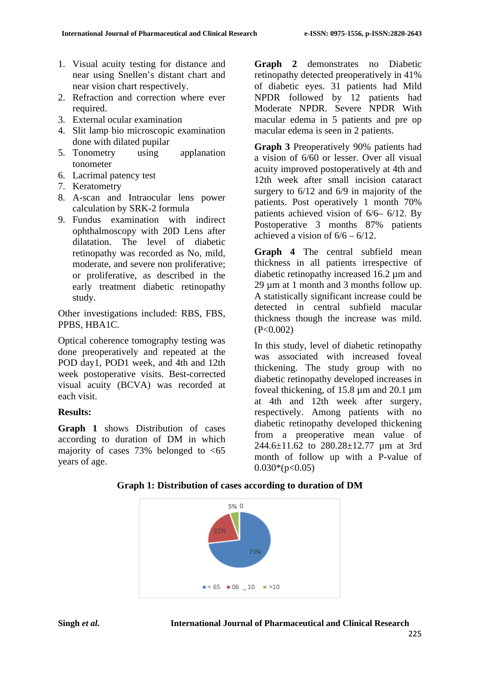- 1. Visual acuity testing for distance and near using Snellen's distant chart and near vision chart respectively.
- 2. Refraction and correction where ever required.
- 3. External ocular examination
- 4. Slit lamp bio microscopic examination done with dilated pupilar
- 5. Tonometry using applanation tonometer
- 6. Lacrimal patency test
- 7. Keratometry
- 8. A-scan and Intraocular lens power calculation by SRK-2 formula
- 9. Fundus examination with indirect ophthalmoscopy with 20D Lens after dilatation. The level of diabetic retinopathy was recorded as No, mild, moderate, and severe non proliferative; or proliferative, as described in the early treatment diabetic retinopathy study.

Other investigations included: RBS, FBS, PPBS, HBA1C.

Optical coherence tomography testing was done preoperatively and repeated at the POD day1, POD1 week, and 4th and 12th week postoperative visits. Best-corrected visual acuity (BCVA) was recorded at each visit.

## **Results:**

**Graph 1** shows Distribution of cases according to duration of DM in which majority of cases  $73\%$  belonged to  $\leq 65$ years of age.

**Graph 2** demonstrates no Diabetic retinopathy detected preoperatively in 41% of diabetic eyes. 31 patients had Mild NPDR followed by 12 patients had Moderate NPDR. Severe NPDR With macular edema in 5 patients and pre op macular edema is seen in 2 patients.

**Graph 3** Preoperatively 90% patients had a vision of 6/60 or lesser. Over all visual acuity improved postoperatively at 4th and 12th week after small incision cataract surgery to  $6/12$  and  $6/9$  in majority of the patients. Post operatively 1 month 70% patients achieved vision of 6/6– 6/12. By Postoperative 3 months 87% patients achieved a vision of  $6/6 - 6/12$ .

**Graph 4** The central subfield mean thickness in all patients irrespective of diabetic retinopathy increased 16.2 µm and 29 µm at 1 month and 3 months follow up. A statistically significant increase could be detected in central subfield macular thickness though the increase was mild.  $(P<0.002)$ 

In this study, level of diabetic retinopathy was associated with increased foveal thickening. The study group with no diabetic retinopathy developed increases in foveal thickening, of 15.8 µm and 20.1 µm at 4th and 12th week after surgery, respectively. Among patients with no diabetic retinopathy developed thickening from a preoperative mean value of 244.6±11.62 to 280.28±12.77 um at 3rd month of follow up with a P-value of  $0.030*(p<0.05)$ 

**Graph 1: Distribution of cases according to duration of DM**

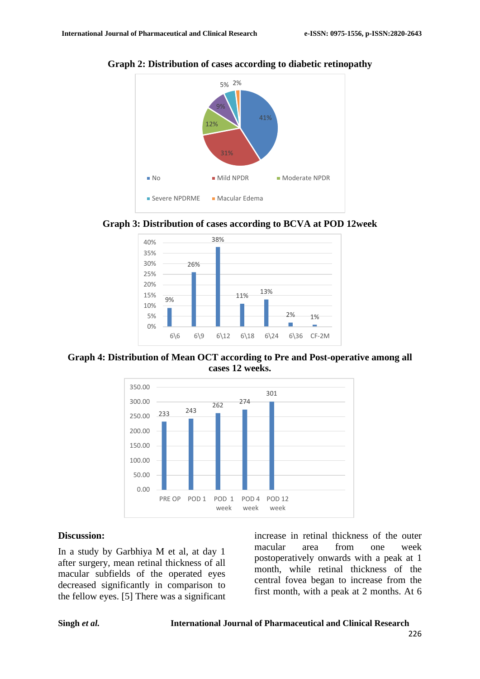

**Graph 2: Distribution of cases according to diabetic retinopathy**









#### **Discussion:**

In a study by Garbhiya M et al, at day 1 after surgery, mean retinal thickness of all macular subfields of the operated eyes decreased significantly in comparison to the fellow eyes. [5] There was a significant

increase in retinal thickness of the outer macular area from one week postoperatively onwards with a peak at 1 month, while retinal thickness of the central fovea began to increase from the first month, with a peak at 2 months. At 6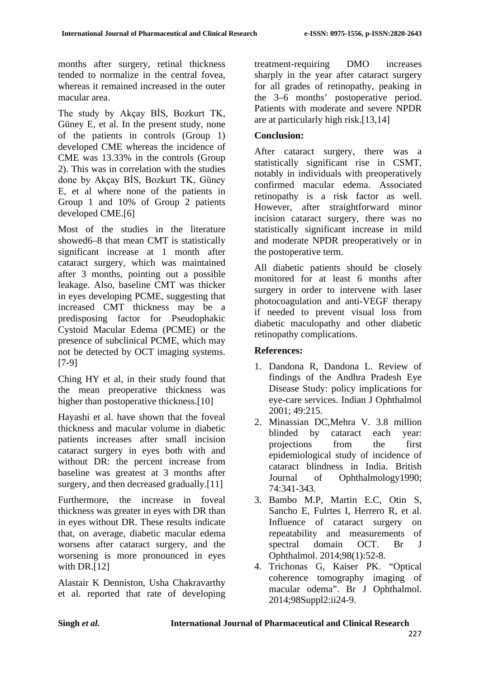months after surgery, retinal thickness tended to normalize in the central fovea, whereas it remained increased in the outer macular area.

The study by Akçay BİS, Bozkurt TK, Güney E, et al. In the present study, none of the patients in controls (Group 1) developed CME whereas the incidence of CME was 13.33% in the controls (Group 2). This was in correlation with the studies done by Akçay BİS, Bozkurt TK, Güney E, et al where none of the patients in Group 1 and 10% of Group 2 patients developed CME.[6]

Most of the studies in the literature showed6–8 that mean CMT is statistically significant increase at 1 month after cataract surgery, which was maintained after 3 months, pointing out a possible leakage. Also, baseline CMT was thicker in eyes developing PCME, suggesting that increased CMT thickness may be a predisposing factor for Pseudophakic Cystoid Macular Edema (PCME) or the presence of subclinical PCME, which may not be detected by OCT imaging systems. [7-9]

Ching HY et al, in their study found that the mean preoperative thickness was higher than postoperative thickness.<sup>[10]</sup>

Hayashi et al. have shown that the foveal thickness and macular volume in diabetic patients increases after small incision cataract surgery in eyes both with and without DR: the percent increase from baseline was greatest at 3 months after surgery, and then decreased gradually.[11]

Furthermore, the increase in foveal thickness was greater in eyes with DR than in eyes without DR. These results indicate that, on average, diabetic macular edema worsens after cataract surgery, and the worsening is more pronounced in eyes with DR. $[12]$ 

Alastair K Denniston, Usha Chakravarthy et al. reported that rate of developing treatment-requiring DMO increases sharply in the year after cataract surgery for all grades of retinopathy, peaking in the 3–6 months' postoperative period. Patients with moderate and severe NPDR are at particularly high risk.[13,14]

## **Conclusion:**

After cataract surgery, there was a statistically significant rise in CSMT, notably in individuals with preoperatively confirmed macular edema. Associated retinopathy is a risk factor as well. However, after straightforward minor incision cataract surgery, there was no statistically significant increase in mild and moderate NPDR preoperatively or in the postoperative term.

All diabetic patients should be closely monitored for at least 6 months after surgery in order to intervene with laser photocoagulation and anti-VEGF therapy if needed to prevent visual loss from diabetic maculopathy and other diabetic retinopathy complications.

### **References:**

- 1. Dandona R, Dandona L. Review of findings of the Andhra Pradesh Eye Disease Study: policy implications for eye-care services. Indian J Ophthalmol 2001; 49:215.
- 2. Minassian DC,Mehra V. 3.8 million blinded by cataract each year: projections from the first epidemiological study of incidence of cataract blindness in India. British Journal of Ophthalmology1990; 74:341-343.
- 3. Bambo M.P, Martin E.C, Otin S, Sancho E, Fulrtes I, Herrero R, et al. Influence of cataract surgery on repeatability and measurements of spectral domain OCT. Br J Ophthalmol. 2014;98(1):52-8.
- 4. Trichonas G, Kaiser PK. "Optical coherence tomography imaging of macular odema". Br J Ophthalmol. 2014;98Suppl2:ii24-9.